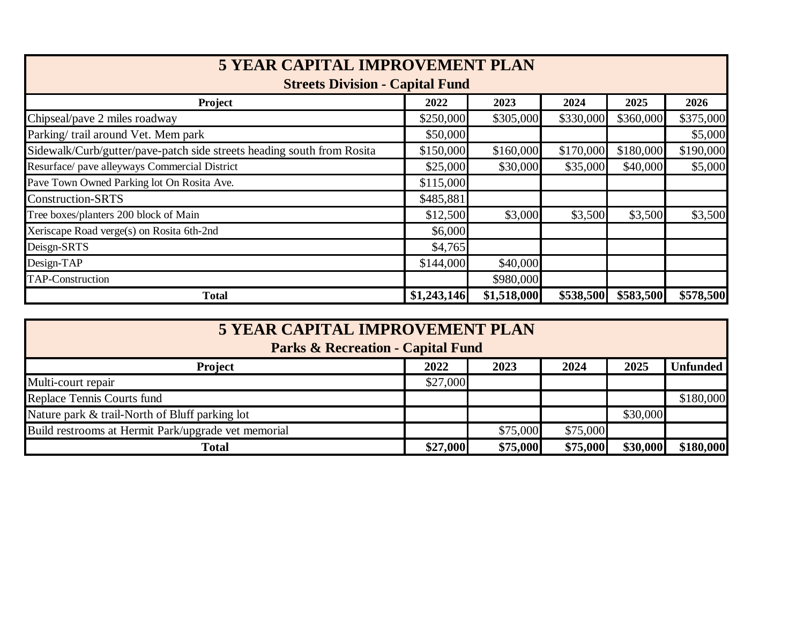| <b>5 YEAR CAPITAL IMPROVEMENT PLAN</b><br><b>Streets Division - Capital Fund</b> |             |             |           |           |           |  |
|----------------------------------------------------------------------------------|-------------|-------------|-----------|-----------|-----------|--|
|                                                                                  |             |             |           |           |           |  |
| Chipseal/pave 2 miles roadway                                                    | \$250,000   | \$305,000   | \$330,000 | \$360,000 | \$375,000 |  |
| Parking/ trail around Vet. Mem park                                              | \$50,000    |             |           |           | \$5,000   |  |
| Sidewalk/Curb/gutter/pave-patch side streets heading south from Rosita           | \$150,000   | \$160,000   | \$170,000 | \$180,000 | \$190,000 |  |
| Resurface/ pave alleyways Commercial District                                    | \$25,000    | \$30,000    | \$35,000  | \$40,000  | \$5,000   |  |
| Pave Town Owned Parking lot On Rosita Ave.                                       | \$115,000   |             |           |           |           |  |
| <b>Construction-SRTS</b>                                                         | \$485,881   |             |           |           |           |  |
| Tree boxes/planters 200 block of Main                                            | \$12,500    | \$3,000     | \$3,500   | \$3,500   | \$3,500   |  |
| Xeriscape Road verge(s) on Rosita 6th-2nd                                        | \$6,000     |             |           |           |           |  |
| Deisgn-SRTS                                                                      | \$4,765     |             |           |           |           |  |
| Design-TAP                                                                       | \$144,000   | \$40,000    |           |           |           |  |
| <b>TAP-Construction</b>                                                          |             | \$980,000   |           |           |           |  |
| <b>Total</b>                                                                     | \$1,243,146 | \$1,518,000 | \$538,500 | \$583,500 | \$578,500 |  |

| <b>5 YEAR CAPITAL IMPROVEMENT PLAN</b><br><b>Parks &amp; Recreation - Capital Fund</b> |          |          |          |          |                 |  |
|----------------------------------------------------------------------------------------|----------|----------|----------|----------|-----------------|--|
| <b>Project</b>                                                                         | 2022     | 2023     | 2024     | 2025     | <b>Unfunded</b> |  |
| Multi-court repair                                                                     | \$27,000 |          |          |          |                 |  |
| Replace Tennis Courts fund                                                             |          |          |          |          | \$180,000       |  |
| Nature park & trail-North of Bluff parking lot                                         |          |          |          | \$30,000 |                 |  |
| Build restrooms at Hermit Park/upgrade vet memorial                                    |          | \$75,000 | \$75,000 |          |                 |  |
| <b>Total</b>                                                                           | \$27,000 | \$75,000 | \$75,000 | \$30,000 | \$180,000       |  |